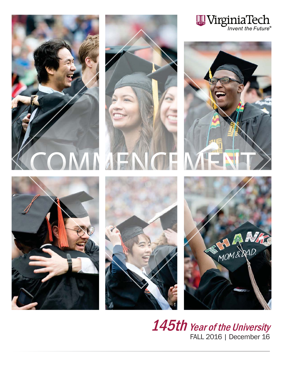

 $\bm{145}$ th Year of the University FALL 2016 | December 16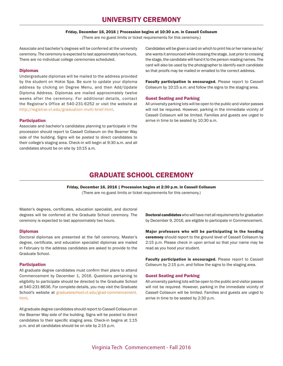# UNIVERSITY CEREMONY

#### Friday, December 16, 2016 | Procession begins at 10:30 a.m. in Cassell Coliseum

(There are no guest limits or ticket requirements for this ceremony.)

Associate and bachelor's degrees will be conferred at the university ceremony. The ceremony is expected to last approximately two hours. There are no individual college ceremonies scheduled.

## Diplomas

Undergraduate diplomas will be mailed to the address provided by the student on Hokie Spa. Be sure to update your diploma address by clicking on Degree Menu, and then Add/Update Diploma Address. Diplomas are mailed approximately twelve weeks after the ceremony. For additional details, contact the Registrar's Office at 540-231-6252 or visit the website at http://registrar.vt.edu/graduation-multi-brief.html.

## Participation

Associate and bachelor's candidates planning to participate in the procession should report to Cassell Coliseum on the Beamer Way side of the building. Signs will be posted to direct candidates to their college's staging area. Check-in will begin at 9:30 a.m. and all candidates should be on site by 10:15 a.m.

Candidates will be given a card on which to print his or her name as he/ she wants it announced while crossing the stage. Just prior to crossing the stage, the candidate will hand it to the person reading names. The card will also be used by the photographer to identify each candidate so that proofs may be mailed or emailed to the correct address.

Faculty participation is encouraged. Please report to Cassell Coliseum by 10:15 a.m. and follow the signs to the staging area.

# Guest Seating and Parking

All university parking lots will be open to the public and visitor passes will not be required. However, parking in the immediate vicinity of Cassell Coliseum will be limited. Families and guests are urged to arrive in time to be seated by 10:30 a.m.

# GRADUATE SCHOOL CEREMONY

Friday, December 16, 2016 | Procession begins at 2:30 p.m. in Cassell Coliseum (There are no guest limits or ticket requirements for this ceremony.)

Master's degrees, certificates, education specialist, and doctoral degrees will be conferred at the Graduate School ceremony. The ceremony is expected to last approximately two hours.

#### Diplomas

Doctoral diplomas are presented at the fall ceremony. Master's degree, certificate, and education specialist diplomas are mailed in February to the address candidates are asked to provide to the Graduate School.

# Participation

All graduate degree candidates must confirm their plans to attend Commencement by December 1, 2016. Questions pertaining to eligibility to participate should be directed to the Graduate School at 540-231-8636. For complete details, you may visit the Graduate School's website at graduateschool.vt.edu/grad-commencement. html.

All graduate degree candidates should report to Cassell Coliseum on the Beamer Way side of the building. Signs will be posted to direct candidates to their specific staging area. Check-in begins at 1:15 p.m. and all candidates should be on site by 2:15 p.m.

Doctoral candidates who will have met all requirements for graduation by December 9, 2016, are eligible to participate in Commencement.

Major professors who will be participating in the hooding ceremony should report to the ground level of Cassell Coliseum by 2:15 p.m. Please check in upon arrival so that your name may be read as you hood your student.

Faculty participation is encouraged. Please report to Cassell Coliseum by 2:15 p.m. and follow the signs to the staging area.

## Guest Seating and Parking

All university parking lots will be open to the public and visitor passes will not be required. However, parking in the immediate vicinity of Cassell Coliseum will be limited. Families and guests are urged to arrive in time to be seated by 2:30 p.m.